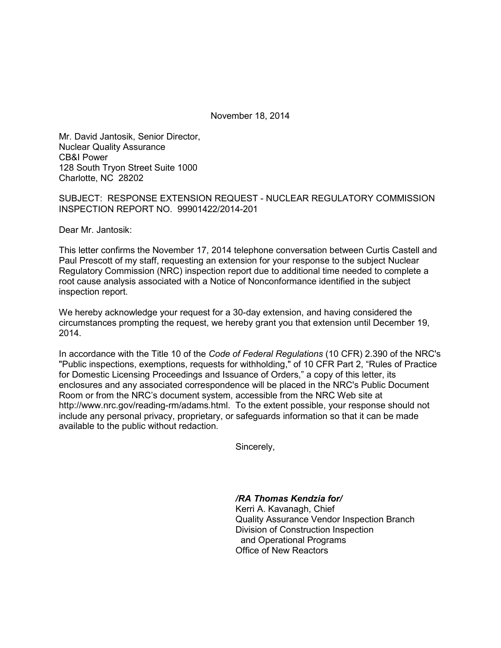November 18, 2014

Mr. David Jantosik, Senior Director, Nuclear Quality Assurance CB&I Power 128 South Tryon Street Suite 1000 Charlotte, NC 28202

SUBJECT: RESPONSE EXTENSION REQUEST - NUCLEAR REGULATORY COMMISSION INSPECTION REPORT NO. 99901422/2014-201

Dear Mr. Jantosik:

This letter confirms the November 17, 2014 telephone conversation between Curtis Castell and Paul Prescott of my staff, requesting an extension for your response to the subject Nuclear Regulatory Commission (NRC) inspection report due to additional time needed to complete a root cause analysis associated with a Notice of Nonconformance identified in the subject inspection report.

We hereby acknowledge your request for a 30-day extension, and having considered the circumstances prompting the request, we hereby grant you that extension until December 19, 2014.

In accordance with the Title 10 of the *Code of Federal Regulations* (10 CFR) 2.390 of the NRC's "Public inspections, exemptions, requests for withholding," of 10 CFR Part 2, "Rules of Practice for Domestic Licensing Proceedings and Issuance of Orders," a copy of this letter, its enclosures and any associated correspondence will be placed in the NRC's Public Document Room or from the NRC's document system, accessible from the NRC Web site at http://www.nrc.gov/reading-rm/adams.html. To the extent possible, your response should not include any personal privacy, proprietary, or safeguards information so that it can be made available to the public without redaction.

Sincerely,

*/RA Thomas Kendzia for/* Kerri A. Kavanagh, Chief Quality Assurance Vendor Inspection Branch Division of Construction Inspection and Operational Programs Office of New Reactors